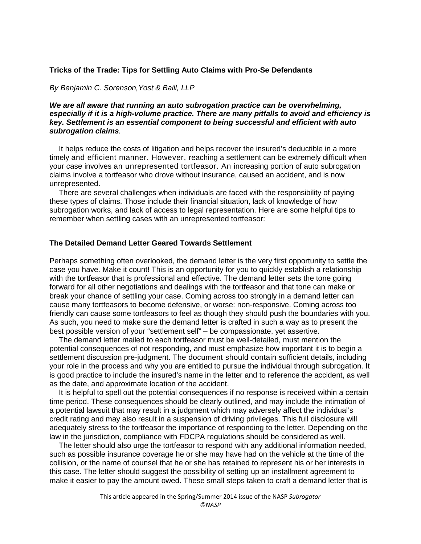# **Tricks of the Trade: Tips for Settling Auto Claims with Pro-Se Defendants**

*By Benjamin C. Sorenson,Yost & Baill, LLP*

# *We are all aware that running an auto subrogation practice can be overwhelming, especially if it is a high-volume practice. There are many pitfalls to avoid and efficiency is key. Settlement is an essential component to being successful and efficient with auto subrogation claims.*

It helps reduce the costs of litigation and helps recover the insured's deductible in a more timely and efficient manner. However, reaching a settlement can be extremely difficult when your case involves an unrepresented tortfeasor. An increasing portion of auto subrogation claims involve a tortfeasor who drove without insurance, caused an accident, and is now unrepresented.

There are several challenges when individuals are faced with the responsibility of paying these types of claims. Those include their financial situation, lack of knowledge of how subrogation works, and lack of access to legal representation. Here are some helpful tips to remember when settling cases with an unrepresented tortfeasor:

# **The Detailed Demand Letter Geared Towards Settlement**

Perhaps something often overlooked, the demand letter is the very first opportunity to settle the case you have. Make it count! This is an opportunity for you to quickly establish a relationship with the tortfeasor that is professional and effective. The demand letter sets the tone going forward for all other negotiations and dealings with the tortfeasor and that tone can make or break your chance of settling your case. Coming across too strongly in a demand letter can cause many tortfeasors to become defensive, or worse: non-responsive. Coming across too friendly can cause some tortfeasors to feel as though they should push the boundaries with you. As such, you need to make sure the demand letter is crafted in such a way as to present the best possible version of your "settlement self" – be compassionate, yet assertive.

The demand letter mailed to each tortfeasor must be well-detailed, must mention the potential consequences of not responding, and must emphasize how important it is to begin a settlement discussion pre-judgment. The document should contain sufficient details, including your role in the process and why you are entitled to pursue the individual through subrogation. It is good practice to include the insured's name in the letter and to reference the accident, as well as the date, and approximate location of the accident.

It is helpful to spell out the potential consequences if no response is received within a certain time period. These consequences should be clearly outlined, and may include the intimation of a potential lawsuit that may result in a judgment which may adversely affect the individual's credit rating and may also result in a suspension of driving privileges. This full disclosure will adequately stress to the tortfeasor the importance of responding to the letter. Depending on the law in the jurisdiction, compliance with FDCPA regulations should be considered as well.

The letter should also urge the tortfeasor to respond with any additional information needed, such as possible insurance coverage he or she may have had on the vehicle at the time of the collision, or the name of counsel that he or she has retained to represent his or her interests in this case. The letter should suggest the possibility of setting up an installment agreement to make it easier to pay the amount owed. These small steps taken to craft a demand letter that is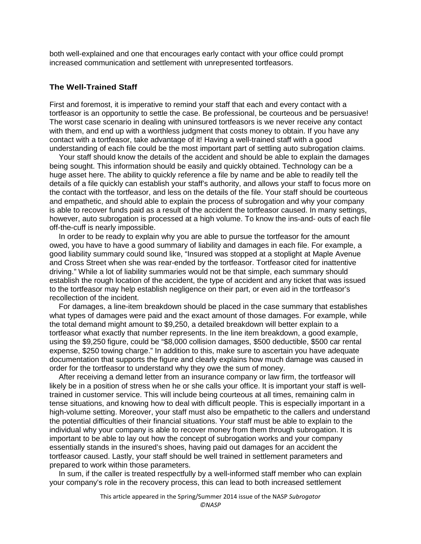both well-explained and one that encourages early contact with your office could prompt increased communication and settlement with unrepresented tortfeasors.

#### **The Well-Trained Staff**

First and foremost, it is imperative to remind your staff that each and every contact with a tortfeasor is an opportunity to settle the case. Be professional, be courteous and be persuasive! The worst case scenario in dealing with uninsured tortfeasors is we never receive any contact with them, and end up with a worthless judgment that costs money to obtain. If you have any contact with a tortfeasor, take advantage of it! Having a well-trained staff with a good understanding of each file could be the most important part of settling auto subrogation claims.

Your staff should know the details of the accident and should be able to explain the damages being sought. This information should be easily and quickly obtained. Technology can be a huge asset here. The ability to quickly reference a file by name and be able to readily tell the details of a file quickly can establish your staff's authority, and allows your staff to focus more on the contact with the tortfeasor, and less on the details of the file. Your staff should be courteous and empathetic, and should able to explain the process of subrogation and why your company is able to recover funds paid as a result of the accident the tortfeasor caused. In many settings, however, auto subrogation is processed at a high volume. To know the ins-and- outs of each file off-the-cuff is nearly impossible.

In order to be ready to explain why you are able to pursue the tortfeasor for the amount owed, you have to have a good summary of liability and damages in each file. For example, a good liability summary could sound like, "Insured was stopped at a stoplight at Maple Avenue and Cross Street when she was rear-ended by the tortfeasor. Tortfeasor cited for inattentive driving." While a lot of liability summaries would not be that simple, each summary should establish the rough location of the accident, the type of accident and any ticket that was issued to the tortfeasor may help establish negligence on their part, or even aid in the tortfeasor's recollection of the incident.

For damages, a line-item breakdown should be placed in the case summary that establishes what types of damages were paid and the exact amount of those damages. For example, while the total demand might amount to \$9,250, a detailed breakdown will better explain to a tortfeasor what exactly that number represents. In the line item breakdown, a good example, using the \$9,250 figure, could be "\$8,000 collision damages, \$500 deductible, \$500 car rental expense, \$250 towing charge." In addition to this, make sure to ascertain you have adequate documentation that supports the figure and clearly explains how much damage was caused in order for the tortfeasor to understand why they owe the sum of money.

After receiving a demand letter from an insurance company or law firm, the tortfeasor will likely be in a position of stress when he or she calls your office. It is important your staff is welltrained in customer service. This will include being courteous at all times, remaining calm in tense situations, and knowing how to deal with difficult people. This is especially important in a high-volume setting. Moreover, your staff must also be empathetic to the callers and understand the potential difficulties of their financial situations. Your staff must be able to explain to the individual why your company is able to recover money from them through subrogation. It is important to be able to lay out how the concept of subrogation works and your company essentially stands in the insured's shoes, having paid out damages for an accident the tortfeasor caused. Lastly, your staff should be well trained in settlement parameters and prepared to work within those parameters.

In sum, if the caller is treated respectfully by a well-informed staff member who can explain your company's role in the recovery process, this can lead to both increased settlement

This article appeared in the Spring/Summer 2014 issue of the NASP *Subrogator*